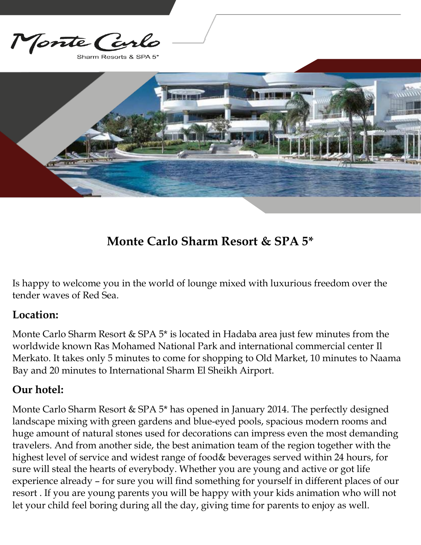Monte Co

Sharm Resorts & SPA 5



# **Monte Carlo Sharm Resort & SPA 5\***

Is happy to welcome you in the world of lounge mixed with luxurious freedom over the tender waves of Red Sea.

#### **Location:**

Monte Carlo Sharm Resort & SPA 5\* is located in Hadaba area just few minutes from the worldwide known Ras Mohamed National Park and international commercial center Il Merkato. It takes only 5 minutes to come for shopping to Old Market, 10 minutes to Naama Bay and 20 minutes to International Sharm El Sheikh Airport.

### **Our hotel:**

Monte Carlo Sharm Resort & SPA 5\* has opened in January 2014. The perfectly designed landscape mixing with green gardens and blue-eyed pools, spacious modern rooms and huge amount of natural stones used for decorations can impress even the most demanding travelers. And from another side, the best animation team of the region together with the highest level of service and widest range of food& beverages served within 24 hours, for sure will steal the hearts of everybody. Whether you are young and active or got life experience already – for sure you will find something for yourself in different places of our resort . If you are young parents you will be happy with your kids animation who will not let your child feel boring during all the day, giving time for parents to enjoy as well.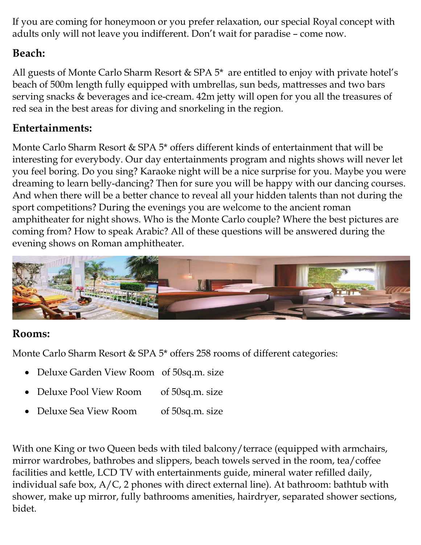If you are coming for honeymoon or you prefer relaxation, our special Royal concept with adults only will not leave you indifferent. Don't wait for paradise – come now.

# **Beach:**

All guests of Monte Carlo Sharm Resort & SPA 5\* are entitled to enjoy with private hotel's beach of 500m length fully equipped with umbrellas, sun beds, mattresses and two bars serving snacks & beverages and ice-cream. 42m jetty will open for you all the treasures of red sea in the best areas for diving and snorkeling in the region.

## **Entertainments:**

Monte Carlo Sharm Resort & SPA 5\* offers different kinds of entertainment that will be interesting for everybody. Our day entertainments program and nights shows will never let you feel boring. Do you sing? Karaoke night will be a nice surprise for you. Maybe you were dreaming to learn belly-dancing? Then for sure you will be happy with our dancing courses. And when there will be a better chance to reveal all your hidden talents than not during the sport competitions? During the evenings you are welcome to the ancient roman amphitheater for night shows. Who is the Monte Carlo couple? Where the best pictures are coming from? How to speak Arabic? All of these questions will be answered during the evening shows on Roman amphitheater.



### **Rooms:**

Monte Carlo Sharm Resort & SPA 5\* offers 258 rooms of different categories:

- Deluxe Garden View Room of 50sq.m. size
- Deluxe Pool View Room of 50sq.m. size
- Deluxe Sea View Room of 50sq.m. size

With one King or two Queen beds with tiled balcony/terrace (equipped with armchairs, mirror wardrobes, bathrobes and slippers, beach towels served in the room, tea/coffee facilities and kettle, LCD TV with entertainments guide, mineral water refilled daily, individual safe box, A/C, 2 phones with direct external line). At bathroom: bathtub with shower, make up mirror, fully bathrooms amenities, hairdryer, separated shower sections, bidet.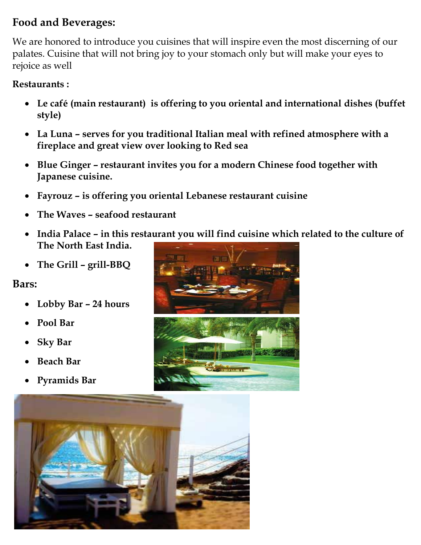# **Food and Beverages:**

We are honored to introduce you cuisines that will inspire even the most discerning of our palates. Cuisine that will not bring joy to your stomach only but will make your eyes to rejoice as well

#### **Restaurants :**

- **Le café (main restaurant) is offering to you oriental and international dishes (buffet style)**
- **La Luna – serves for you traditional Italian meal with refined atmosphere with a fireplace and great view over looking to Red sea**
- **Blue Ginger – restaurant invites you for a modern Chinese food together with Japanese cuisine.**
- **Fayrouz – is offering you oriental Lebanese restaurant cuisine**
- **The Waves – seafood restaurant**
- **India Palace – in this restaurant you will find cuisine which related to the culture of The North East India.**
- **The Grill – grill-BBQ**

#### **Bars:**

- **Lobby Bar – 24 hours**
- **Pool Bar**
- **Sky Bar**
- **Beach Bar**
- **Pyramids Bar**



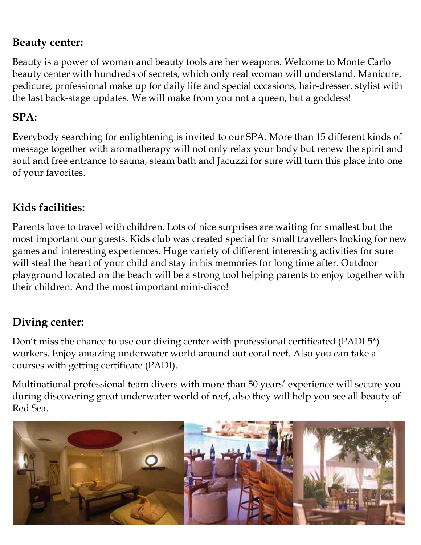### **Beauty center:**

Beauty is a power of woman and beauty tools are her weapons. Welcome to Monte Carlo beauty center with hundreds of secrets, which only real woman will understand. Manicure, pedicure, professional make up for daily life and special occasions, hair-dresser, stylist with the last back-stage updates. We will make from you not a queen, but a goddess!

# **SPA:**

**E**verybody searching for enlightening is invited to our SPA. More than 15 different kinds of message together with aromatherapy will not only relax your body but renew the spirit and soul and free entrance to sauna, steam bath and Jacuzzi for sure will turn this place into one of your favorites.

# **Kids facilities:**

Parents love to travel with children. Lots of nice surprises are waiting for smallest but the most important our guests. Kids club was created special for small travellers looking for new games and interesting experiences. Huge variety of different interesting activities for sure will steal the heart of your child and stay in his memories for long time after. Outdoor playground located on the beach will be a strong tool helping parents to enjoy together with their children. And the most important mini-disco!

# **Diving center:**

Don't miss the chance to use our diving center with professional certificated (PADI 5\*) workers. Enjoy amazing underwater world around out coral reef. Also you can take a courses with getting certificate (PADI).

Multinational professional team divers with more than 50 years' experience will secure you during discovering great underwater world of reef, also they will help you see all beauty of Red Sea.

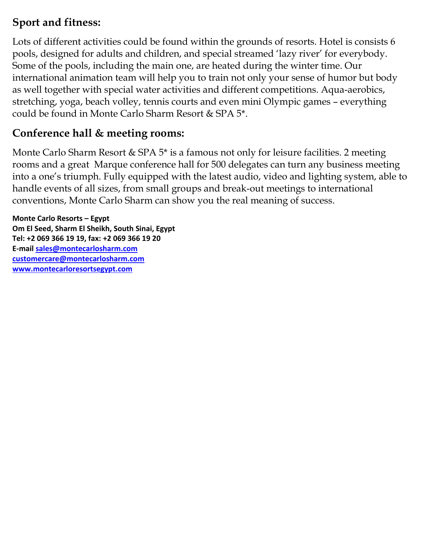# **Sport and fitness:**

Lots of different activities could be found within the grounds of resorts. Hotel is consists 6 pools, designed for adults and children, and special streamed 'lazy river' for everybody. Some of the pools, including the main one, are heated during the winter time. Our international animation team will help you to train not only your sense of humor but body as well together with special water activities and different competitions. Aqua-aerobics, stretching, yoga, beach volley, tennis courts and even mini Olympic games – everything could be found in Monte Carlo Sharm Resort & SPA 5\*.

# **Conference hall & meeting rooms:**

Monte Carlo Sharm Resort & SPA 5<sup>\*</sup> is a famous not only for leisure facilities. 2 meeting rooms and a great Marque conference hall for 500 delegates can turn any business meeting into a one's triumph. Fully equipped with the latest audio, video and lighting system, able to handle events of all sizes, from small groups and break-out meetings to international conventions, Monte Carlo Sharm can show you the real meaning of success.

**Monte Carlo Resorts – Egypt Om El Seed, Sharm El Sheikh, South Sinai, Egypt Tel: +2 069 366 19 19, fax: +2 069 366 19 20 E-mail [sales@montecarlosharm.com](mailto:sales@montecarlosharm.com) [customercare@montecarlosharm.com](mailto:customercare@montecarlosharm.com) [www.montecarloresortsegypt.com](http://www.montecarloresortsegypt.com/)**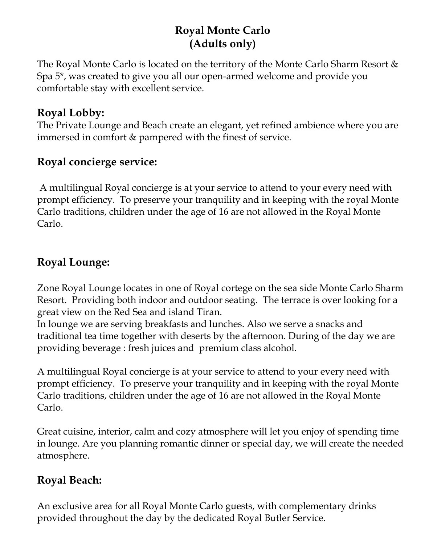# **Royal Monte Carlo (Adults only)**

The Royal Monte Carlo is located on the territory of the Monte Carlo Sharm Resort & Spa 5\*, was created to give you all our open-armed welcome and provide you comfortable stay with excellent service.

### **Royal Lobby:**

The Private Lounge and Beach create an elegant, yet refined ambience where you are immersed in comfort & pampered with the finest of service.

### **Royal concierge service:**

A multilingual Royal concierge is at your service to attend to your every need with prompt efficiency. To preserve your tranquility and in keeping with the royal Monte Carlo traditions, children under the age of 16 are not allowed in the Royal Monte Carlo.

### **Royal Lounge:**

Zone Royal Lounge locates in one of Royal cortege on the sea side Monte Carlo Sharm Resort. Providing both indoor and outdoor seating. The terrace is over looking for a great view on the Red Sea and island Tiran.

In lounge we are serving breakfasts and lunches. Also we serve a snacks and traditional tea time together with deserts by the afternoon. During of the day we are providing beverage : fresh juices and premium class alcohol.

A multilingual Royal concierge is at your service to attend to your every need with prompt efficiency. To preserve your tranquility and in keeping with the royal Monte Carlo traditions, children under the age of 16 are not allowed in the Royal Monte Carlo.

Great cuisine, interior, calm and cozy atmosphere will let you enjoy of spending time in lounge. Are you planning romantic dinner or special day, we will create the needed atmosphere.

### **Royal Beach:**

An exclusive area for all Royal Monte Carlo guests, with complementary drinks provided throughout the day by the dedicated Royal Butler Service.